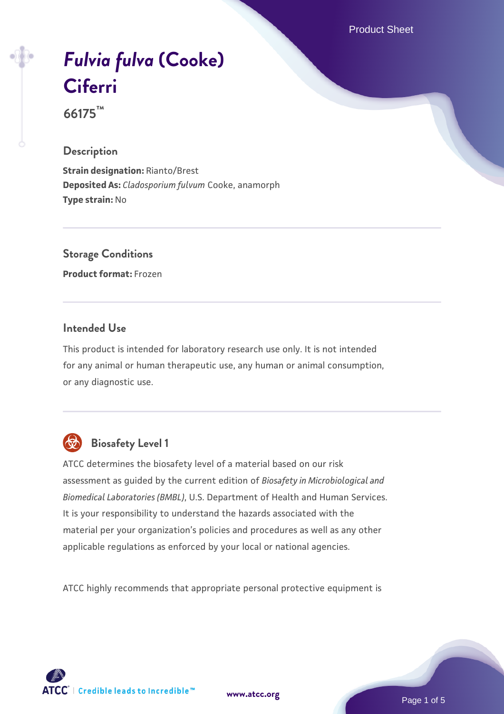Product Sheet

# *[Fulvia fulva](https://www.atcc.org/products/66175)* **[\(Cooke\)](https://www.atcc.org/products/66175) [Ciferri](https://www.atcc.org/products/66175)**

**66175™**

# **Description**

**Strain designation:** Rianto/Brest **Deposited As:** *Cladosporium fulvum* Cooke, anamorph **Type strain:** No

**Storage Conditions**

**Product format:** Frozen

# **Intended Use**

This product is intended for laboratory research use only. It is not intended for any animal or human therapeutic use, any human or animal consumption, or any diagnostic use.



# **Biosafety Level 1**

ATCC determines the biosafety level of a material based on our risk assessment as guided by the current edition of *Biosafety in Microbiological and Biomedical Laboratories (BMBL)*, U.S. Department of Health and Human Services. It is your responsibility to understand the hazards associated with the material per your organization's policies and procedures as well as any other applicable regulations as enforced by your local or national agencies.

ATCC highly recommends that appropriate personal protective equipment is

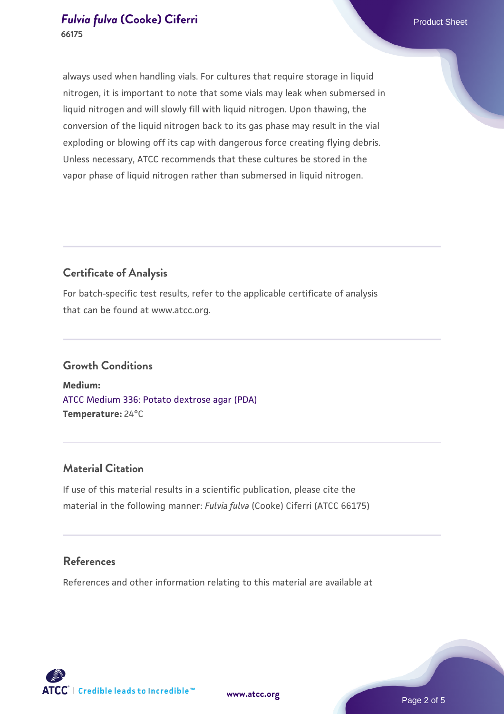# *[Fulvia fulva](https://www.atcc.org/products/66175)* **[\(Cooke\) Ciferri](https://www.atcc.org/products/66175) Product Sheet** Product Sheet **66175**

always used when handling vials. For cultures that require storage in liquid nitrogen, it is important to note that some vials may leak when submersed in liquid nitrogen and will slowly fill with liquid nitrogen. Upon thawing, the conversion of the liquid nitrogen back to its gas phase may result in the vial exploding or blowing off its cap with dangerous force creating flying debris. Unless necessary, ATCC recommends that these cultures be stored in the vapor phase of liquid nitrogen rather than submersed in liquid nitrogen.

# **Certificate of Analysis**

For batch-specific test results, refer to the applicable certificate of analysis that can be found at www.atcc.org.

# **Growth Conditions**

**Medium:**  [ATCC Medium 336: Potato dextrose agar \(PDA\)](https://www.atcc.org/-/media/product-assets/documents/microbial-media-formulations/3/3/6/atcc-medium-336.pdf?rev=d9160ad44d934cd8b65175461abbf3b9) **Temperature:** 24°C

# **Material Citation**

If use of this material results in a scientific publication, please cite the material in the following manner: *Fulvia fulva* (Cooke) Ciferri (ATCC 66175)

# **References**

References and other information relating to this material are available at



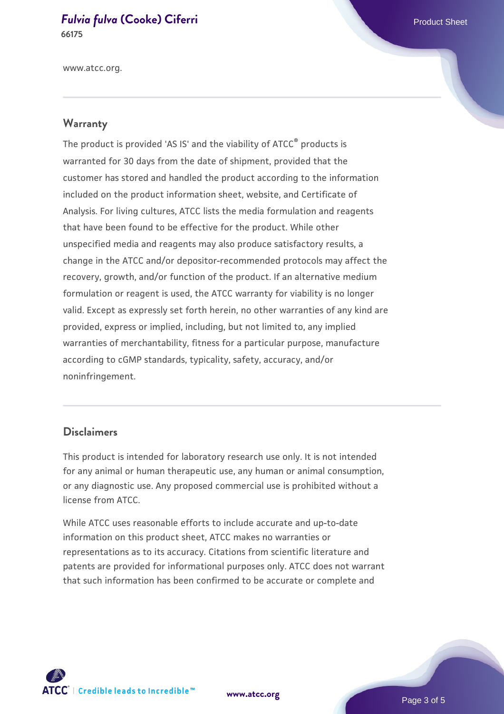#### *[Fulvia fulva](https://www.atcc.org/products/66175)* **[\(Cooke\) Ciferri](https://www.atcc.org/products/66175) Product Sheet** Product Sheet **66175**

www.atcc.org.

# **Warranty**

The product is provided 'AS IS' and the viability of ATCC® products is warranted for 30 days from the date of shipment, provided that the customer has stored and handled the product according to the information included on the product information sheet, website, and Certificate of Analysis. For living cultures, ATCC lists the media formulation and reagents that have been found to be effective for the product. While other unspecified media and reagents may also produce satisfactory results, a change in the ATCC and/or depositor-recommended protocols may affect the recovery, growth, and/or function of the product. If an alternative medium formulation or reagent is used, the ATCC warranty for viability is no longer valid. Except as expressly set forth herein, no other warranties of any kind are provided, express or implied, including, but not limited to, any implied warranties of merchantability, fitness for a particular purpose, manufacture according to cGMP standards, typicality, safety, accuracy, and/or noninfringement.

#### **Disclaimers**

This product is intended for laboratory research use only. It is not intended for any animal or human therapeutic use, any human or animal consumption, or any diagnostic use. Any proposed commercial use is prohibited without a license from ATCC.

While ATCC uses reasonable efforts to include accurate and up-to-date information on this product sheet, ATCC makes no warranties or representations as to its accuracy. Citations from scientific literature and patents are provided for informational purposes only. ATCC does not warrant that such information has been confirmed to be accurate or complete and



**[www.atcc.org](http://www.atcc.org)**

Page 3 of 5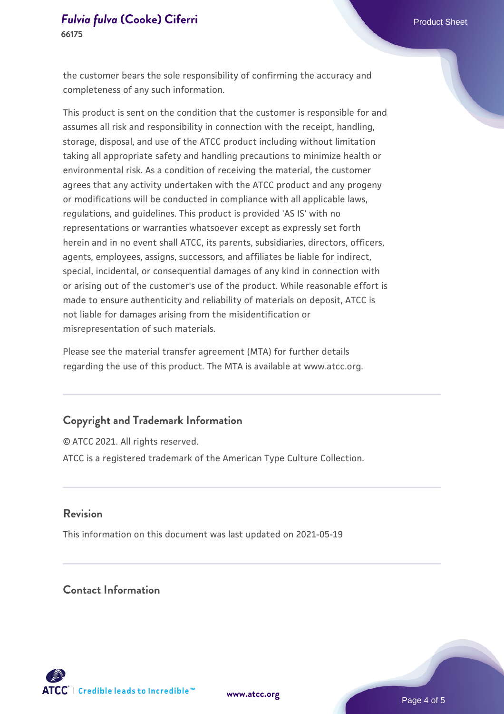# *[Fulvia fulva](https://www.atcc.org/products/66175)* **[\(Cooke\) Ciferri](https://www.atcc.org/products/66175) Product Sheet** Product Sheet **66175**

the customer bears the sole responsibility of confirming the accuracy and completeness of any such information.

This product is sent on the condition that the customer is responsible for and assumes all risk and responsibility in connection with the receipt, handling, storage, disposal, and use of the ATCC product including without limitation taking all appropriate safety and handling precautions to minimize health or environmental risk. As a condition of receiving the material, the customer agrees that any activity undertaken with the ATCC product and any progeny or modifications will be conducted in compliance with all applicable laws, regulations, and guidelines. This product is provided 'AS IS' with no representations or warranties whatsoever except as expressly set forth herein and in no event shall ATCC, its parents, subsidiaries, directors, officers, agents, employees, assigns, successors, and affiliates be liable for indirect, special, incidental, or consequential damages of any kind in connection with or arising out of the customer's use of the product. While reasonable effort is made to ensure authenticity and reliability of materials on deposit, ATCC is not liable for damages arising from the misidentification or misrepresentation of such materials.

Please see the material transfer agreement (MTA) for further details regarding the use of this product. The MTA is available at www.atcc.org.

# **Copyright and Trademark Information**

© ATCC 2021. All rights reserved. ATCC is a registered trademark of the American Type Culture Collection.

#### **Revision**

This information on this document was last updated on 2021-05-19

# **Contact Information**